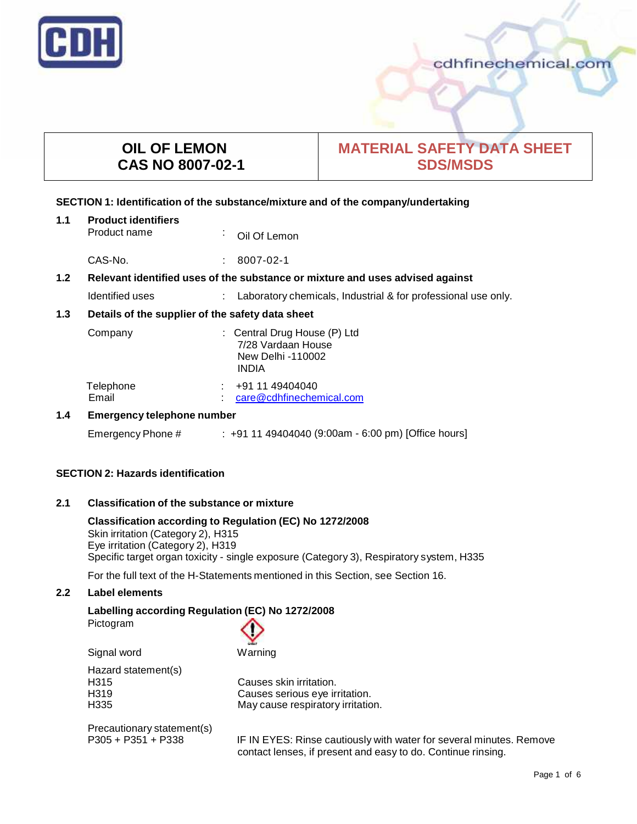

# **OIL OF LEMON CAS NO 8007-02-1**

# **MATERIAL SAFETY DATA SHEET SDS/MSDS**

## **SECTION 1: Identification of the substance/mixture and of the company/undertaking**

| 1.1                                                                                  | <b>Product identifiers</b>                       |              |                                                               |
|--------------------------------------------------------------------------------------|--------------------------------------------------|--------------|---------------------------------------------------------------|
|                                                                                      | Product name                                     | $\mathbf{r}$ | Oil Of Lemon                                                  |
|                                                                                      | CAS-No.                                          | ÷            | 8007-02-1                                                     |
| 1.2<br>Relevant identified uses of the substance or mixture and uses advised against |                                                  |              |                                                               |
|                                                                                      | Identified uses                                  |              | Laboratory chemicals, Industrial & for professional use only. |
| 1.3                                                                                  | Details of the supplier of the safety data sheet |              |                                                               |

| Company   | : Central Drug House (P) Ltd<br>7/28 Vardaan House<br>New Delhi -110002<br><b>INDIA</b> |
|-----------|-----------------------------------------------------------------------------------------|
| Telephone | $\div$ +91 11 49404040                                                                  |
| Email     | care@cdhfinechemical.com                                                                |

## **1.4 Emergency telephone number**

Emergency Phone # : +91 11 49404040 (9:00am - 6:00 pm) [Office hours]

## **SECTION 2: Hazards identification**

## **2.1 Classification of the substance ormixture**

**Classification according to Regulation (EC) No 1272/2008** Skin irritation (Category 2), H315 Eye irritation (Category 2), H319 Specific target organ toxicity - single exposure (Category 3), Respiratory system, H335

For the full text of the H-Statements mentioned in this Section, see Section 16.

## **2.2 Label elements**

**Labelling according Regulation (EC) No 1272/2008**

Pictogram



Hazard statement(s)<br>H315

H315 Causes skin irritation.<br>
H319 Causes serious eve ir H319 Causes serious eye irritation.<br>H335 **Cause Cause For the Structure of Struct** May cause respiratory irritation May cause respiratory irritation.

Precautionary statement(s)<br>P305 + P351 + P338

IF IN EYES: Rinse cautiously with water for several minutes. Remove contact lenses, if present and easy to do. Continue rinsing.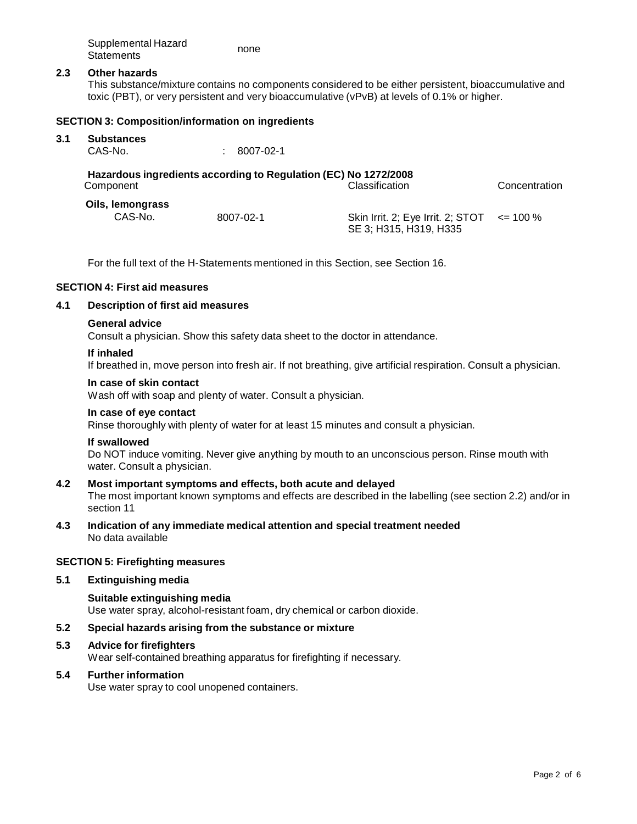| Supplemental Hazard | none |
|---------------------|------|
| <b>Statements</b>   |      |

#### **2.3 Other hazards**

This substance/mixture contains no components considered to be either persistent, bioaccumulative and toxic (PBT), or very persistent and very bioaccumulative (vPvB) at levels of 0.1% or higher.

#### **SECTION 3: Composition/information on ingredients**

# **3.1 Substances**

 $: 8007 - 02 - 1$ 

## **Hazardous ingredients according to Regulation (EC) No 1272/2008** Component Classification Concentration

| Oils, lemongrass |           |  |
|------------------|-----------|--|
| CAS-No.          | 8007-02-1 |  |

Skin Irrit. 2; Eye Irrit. 2; STOT SE 3; H315, H319, H335  $\leq$  100 %

For the full text of the H-Statements mentioned in this Section, see Section 16.

## **SECTION 4: First aid measures**

#### **4.1 Description of first aid measures**

#### **General advice**

Consult a physician. Show this safety data sheet to the doctor in attendance.

#### **If inhaled**

If breathed in, move person into fresh air. If not breathing, give artificial respiration. Consult a physician.

#### **In case of skin contact**

Wash off with soap and plenty of water. Consult a physician.

#### **In case of eye contact**

Rinse thoroughly with plenty of water for at least 15 minutes and consult a physician.

#### **If swallowed**

Do NOT induce vomiting. Never give anything by mouth to an unconscious person. Rinse mouth with water. Consult a physician.

#### **4.2 Most important symptoms and effects, both acute and delayed** The most important known symptoms and effects are described in the labelling (see section 2.2) and/or in

section 11

## **4.3 Indication of any immediate medical attention and special treatment needed** No data available

#### **SECTION 5: Firefighting measures**

## **5.1 Extinguishing media**

## **Suitable extinguishing media** Use water spray, alcohol-resistant foam, dry chemical or carbon dioxide.

## **5.2 Special hazards arising from the substance ormixture**

#### **5.3 Advice for firefighters**

Wear self-contained breathing apparatus for firefighting if necessary.

## **5.4 Further information**

Use water spray to cool unopened containers.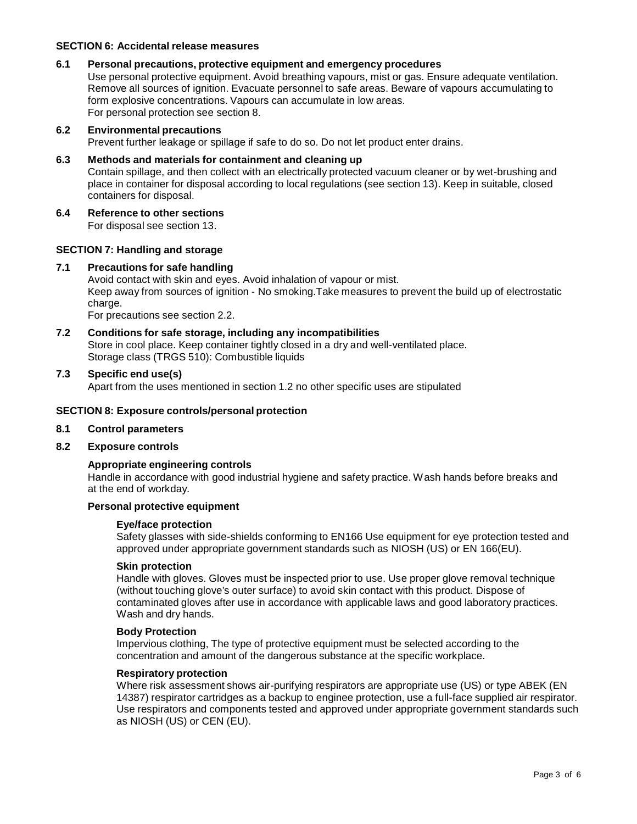## **SECTION 6: Accidental release measures**

## **6.1 Personal precautions, protective equipment and emergency procedures**

Use personal protective equipment. Avoid breathing vapours, mist or gas. Ensure adequate ventilation. Remove all sources of ignition. Evacuate personnel to safe areas. Beware of vapours accumulating to form explosive concentrations. Vapours can accumulate in low areas. For personal protection see section 8.

#### **6.2 Environmental precautions**

Prevent further leakage or spillage if safe to do so. Do not let product enter drains.

#### **6.3 Methods and materials for containment and cleaning up**

Contain spillage, and then collect with an electrically protected vacuum cleaner or by wet-brushing and place in container for disposal according to local regulations (see section 13). Keep in suitable, closed containers for disposal.

## **6.4 Reference to other sections**

For disposal see section 13.

## **SECTION 7: Handling and storage**

## **7.1 Precautions for safe handling**

Avoid contact with skin and eyes. Avoid inhalation of vapour or mist. Keep away from sources of ignition - No smoking.Take measures to prevent the build up of electrostatic charge.

For precautions see section 2.2.

**7.2 Conditions for safe storage, including any incompatibilities** Store in cool place. Keep container tightly closed in a dry and well-ventilated place. Storage class (TRGS 510): Combustible liquids

#### **7.3 Specific end use(s)**

Apart from the uses mentioned in section 1.2 no other specific uses are stipulated

#### **SECTION 8: Exposure controls/personal protection**

#### **8.1 Control parameters**

#### **8.2 Exposure controls**

#### **Appropriate engineering controls**

Handle in accordance with good industrial hygiene and safety practice. Wash hands before breaks and at the end of workday.

#### **Personal protective equipment**

#### **Eye/face protection**

Safety glasses with side-shields conforming to EN166 Use equipment for eye protection tested and approved under appropriate government standards such as NIOSH (US) or EN 166(EU).

#### **Skin protection**

Handle with gloves. Gloves must be inspected prior to use. Use proper glove removal technique (without touching glove's outer surface) to avoid skin contact with this product. Dispose of contaminated gloves after use in accordance with applicable laws and good laboratory practices. Wash and dry hands.

#### **Body Protection**

Impervious clothing, The type of protective equipment must be selected according to the concentration and amount of the dangerous substance at the specific workplace.

#### **Respiratory protection**

Where risk assessment shows air-purifying respirators are appropriate use (US) or type ABEK (EN 14387) respirator cartridges as a backup to enginee protection, use a full-face supplied air respirator. Use respirators and components tested and approved under appropriate government standards such as NIOSH (US) or CEN (EU).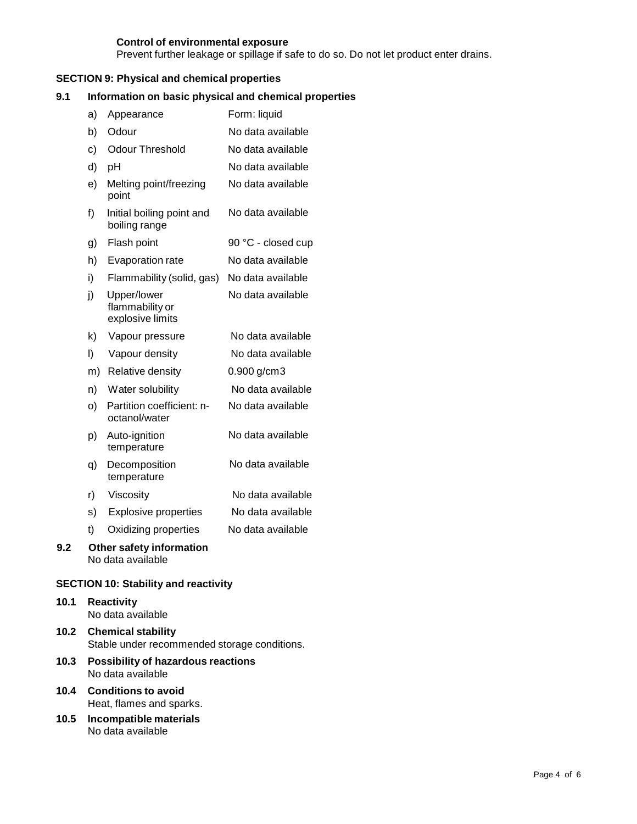## **Control of environmental exposure**

Prevent further leakage or spillage if safe to do so. Do not let product enter drains.

## **SECTION 9: Physical and chemical properties**

## **9.1 Information on basic physical and chemical properties**

| a)  | Appearance                                         | Form: liquid       |
|-----|----------------------------------------------------|--------------------|
| b)  | Odour                                              | No data available  |
| c)  | <b>Odour Threshold</b>                             | No data available  |
| d)  | pH                                                 | No data available  |
| e)  | Melting point/freezing<br>point                    | No data available  |
| f)  | Initial boiling point and<br>boiling range         | No data available  |
| g)  | Flash point                                        | 90 °C - closed cup |
| h)  | Evaporation rate                                   | No data available  |
| i)  | Flammability (solid, gas)                          | No data available  |
| j)  | Upper/lower<br>flammability or<br>explosive limits | No data available  |
| k)  | Vapour pressure                                    | No data available  |
| I)  | Vapour density                                     | No data available  |
| m)  | Relative density                                   | $0.900$ g/cm3      |
| n)  | Water solubility                                   | No data available  |
| O)  | Partition coefficient: n-<br>octanol/water         | No data available  |
| p)  | Auto-ignition<br>temperature                       | No data available  |
| q)  | Decomposition<br>temperature                       | No data available  |
| r)  | Viscosity                                          | No data available  |
| s)  | <b>Explosive properties</b>                        | No data available  |
| t)  | Oxidizing properties                               | No data available  |
| 9.2 | Other safety information<br>No data available      |                    |

## **SECTION 10: Stability and reactivity**

#### **10.1 Reactivity** No data available

- **10.2 Chemical stability** Stable under recommended storage conditions.
- **10.3 Possibility of hazardous reactions** No data available
- **10.4 Conditions to avoid** Heat, flames and sparks.
- **10.5 Incompatible materials** No data available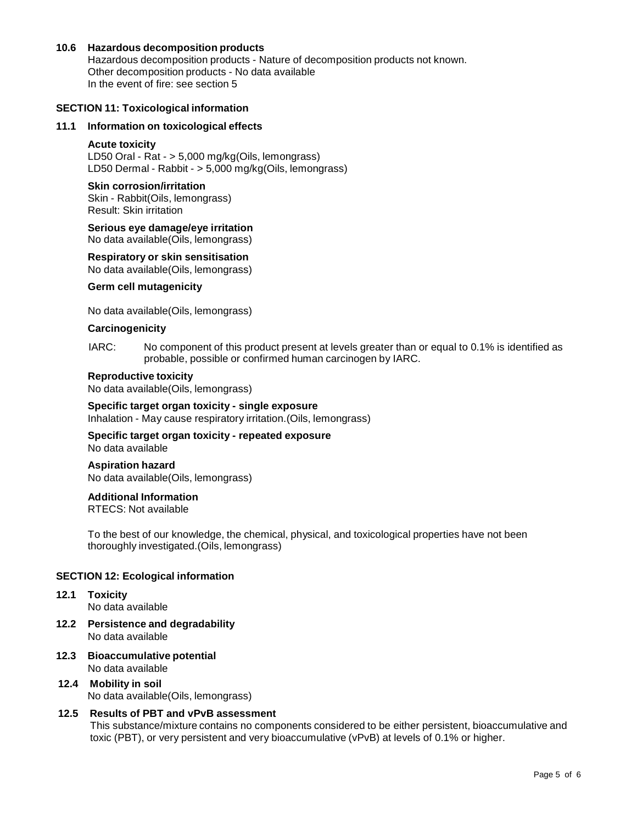### **10.6 Hazardous decomposition products**

Hazardous decomposition products - Nature of decomposition products not known. Other decomposition products - No data available In the event of fire: see section 5

#### **SECTION 11: Toxicological information**

#### **11.1 Information on toxicological effects**

#### **Acute toxicity**

LD50 Oral - Rat - > 5,000 mg/kg(Oils, lemongrass) LD50 Dermal - Rabbit - > 5,000 mg/kg(Oils, lemongrass)

#### **Skin corrosion/irritation**

Skin - Rabbit(Oils, lemongrass) Result: Skin irritation

## **Serious eye damage/eye irritation**

No data available(Oils, lemongrass)

#### **Respiratory orskin sensitisation**

No data available(Oils, lemongrass)

#### **Germ cell mutagenicity**

No data available(Oils, lemongrass)

#### **Carcinogenicity**

IARC: No component of this product present at levels greater than or equal to 0.1% is identified as probable, possible or confirmed human carcinogen by IARC.

#### **Reproductive toxicity**

No data available(Oils, lemongrass)

## **Specific target organ toxicity - single exposure**

Inhalation - May cause respiratory irritation.(Oils, lemongrass)

### **Specific target organ toxicity - repeated exposure** No data available

# **Aspiration hazard**

No data available(Oils, lemongrass)

#### **Additional Information**

RTECS: Not available

To the best of our knowledge, the chemical, physical, and toxicological properties have not been thoroughly investigated.(Oils, lemongrass)

#### **SECTION 12: Ecological information**

- **12.1 Toxicity** No data available
- **12.2 Persistence and degradability** No data available
- **12.3 Bioaccumulative potential** No data available

## **12.4 Mobility in soil** No data available(Oils, lemongrass)

#### **12.5 Results of PBT and vPvB assessment**

This substance/mixture contains no components considered to be either persistent, bioaccumulative and toxic (PBT), or very persistent and very bioaccumulative (vPvB) at levels of 0.1% or higher.